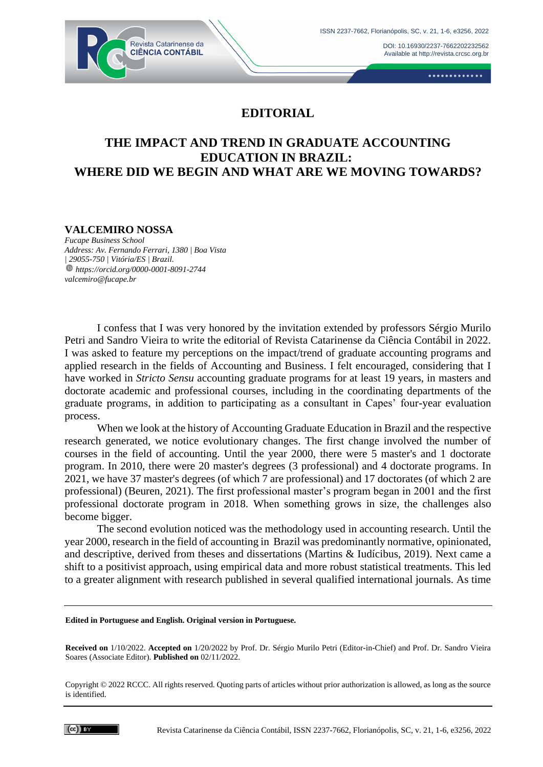DOI[: 10.16930/2237-7662202232562](https://doi.org/10.16930/2237-7662202232562) Available at http://revista.crcsc.org.br



.............

# **EDITORIAL**

# **THE IMPACT AND TREND IN GRADUATE ACCOUNTING EDUCATION IN BRAZIL: WHERE DID WE BEGIN AND WHAT ARE WE MOVING TOWARDS?**

### **VALCEMIRO NOSSA**

*Fucape Business School Address: Av. Fernando Ferrari, 1380 | Boa Vista | 29055-750 | Vitória/ES | Brazil. https://orcid.org/0000-0001-8091-2744 valcemiro@fucape.br*

I confess that I was very honored by the invitation extended by professors Sérgio Murilo Petri and Sandro Vieira to write the editorial of Revista Catarinense da Ciência Contábil in 2022. I was asked to feature my perceptions on the impact/trend of graduate accounting programs and applied research in the fields of Accounting and Business. I felt encouraged, considering that I have worked in *Stricto Sensu* accounting graduate programs for at least 19 years, in masters and doctorate academic and professional courses, including in the coordinating departments of the graduate programs, in addition to participating as a consultant in Capes' four-year evaluation process.

When we look at the history of Accounting Graduate Education in Brazil and the respective research generated, we notice evolutionary changes. The first change involved the number of courses in the field of accounting. Until the year 2000, there were 5 master's and 1 doctorate program. In 2010, there were 20 master's degrees (3 professional) and 4 doctorate programs. In 2021, we have 37 master's degrees (of which 7 are professional) and 17 doctorates (of which 2 are professional) (Beuren, 2021). The first professional master's program began in 2001 and the first professional doctorate program in 2018. When something grows in size, the challenges also become bigger.

The second evolution noticed was the methodology used in accounting research. Until the year 2000, research in the field of accounting in Brazil was predominantly normative, opinionated, and descriptive, derived from theses and dissertations (Martins & Iudícibus, 2019). Next came a shift to a positivist approach, using empirical data and more robust statistical treatments. This led to a greater alignment with research published in several qualified international journals. As time

#### **Edited in Portuguese and English. Original version in Portuguese.**

**Received on** 1/10/2022. **Accepted on** 1/20/2022 by Prof. Dr. Sérgio Murilo Petri (Editor-in-Chief) and Prof. Dr. Sandro Vieira Soares (Associate Editor). **Published on** 02/11/2022.

Copyright © 2022 RCCC. All rights reserved. Quoting parts of articles without prior authorization is allowed, as long as the source is identified.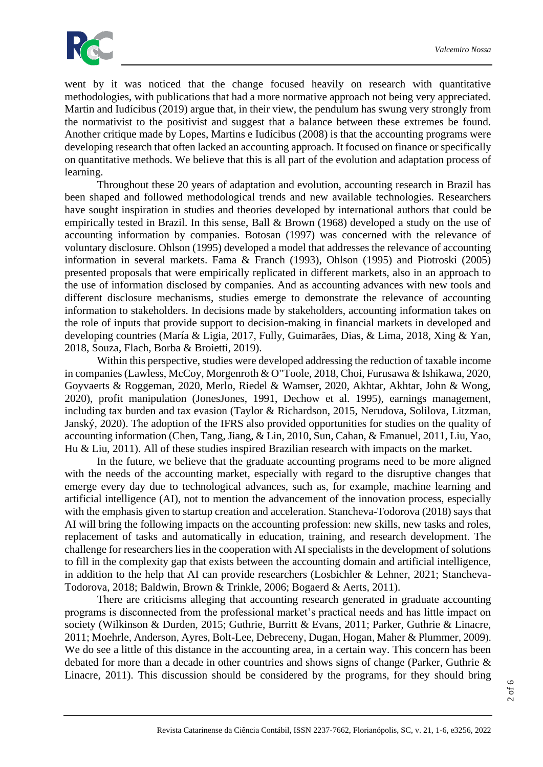

went by it was noticed that the change focused heavily on research with quantitative methodologies, with publications that had a more normative approach not being very appreciated. Martin and Iudícibus (2019) argue that, in their view, the pendulum has swung very strongly from the normativist to the positivist and suggest that a balance between these extremes be found. Another critique made by Lopes, Martins e Iudícibus (2008) is that the accounting programs were developing research that often lacked an accounting approach. It focused on finance or specifically on quantitative methods. We believe that this is all part of the evolution and adaptation process of learning.

Throughout these 20 years of adaptation and evolution, accounting research in Brazil has been shaped and followed methodological trends and new available technologies. Researchers have sought inspiration in studies and theories developed by international authors that could be empirically tested in Brazil. In this sense, Ball & Brown (1968) developed a study on the use of accounting information by companies. Botosan (1997) was concerned with the relevance of voluntary disclosure. Ohlson (1995) developed a model that addresses the relevance of accounting information in several markets. Fama & Franch (1993), Ohlson (1995) and Piotroski (2005) presented proposals that were empirically replicated in different markets, also in an approach to the use of information disclosed by companies. And as accounting advances with new tools and different disclosure mechanisms, studies emerge to demonstrate the relevance of accounting information to stakeholders. In decisions made by stakeholders, accounting information takes on the role of inputs that provide support to decision-making in financial markets in developed and developing countries (María & Ligia, 2017, Fully, Guimarães, Dias, & Lima, 2018, Xing & Yan, 2018, Souza, Flach, Borba & Broietti, 2019).

Within this perspective, studies were developed addressing the reduction of taxable income in companies (Lawless, McCoy, Morgenroth & O"Toole, 2018, Choi, Furusawa & Ishikawa, 2020, Goyvaerts & Roggeman, 2020, Merlo, Riedel & Wamser, 2020, Akhtar, Akhtar, John & Wong, 2020), profit manipulation (JonesJones, 1991, Dechow et al. 1995), earnings management, including tax burden and tax evasion (Taylor & Richardson, 2015, Nerudova, Solilova, Litzman, Janský, 2020). The adoption of the IFRS also provided opportunities for studies on the quality of accounting information (Chen, Tang, Jiang, & Lin, 2010, Sun, Cahan, & Emanuel, 2011, Liu, Yao, Hu & Liu, 2011). All of these studies inspired Brazilian research with impacts on the market.

In the future, we believe that the graduate accounting programs need to be more aligned with the needs of the accounting market, especially with regard to the disruptive changes that emerge every day due to technological advances, such as, for example, machine learning and artificial intelligence (AI), not to mention the advancement of the innovation process, especially with the emphasis given to startup creation and acceleration. Stancheva-Todorova (2018) says that AI will bring the following impacts on the accounting profession: new skills, new tasks and roles, replacement of tasks and automatically in education, training, and research development. The challenge for researchers lies in the cooperation with AI specialists in the development of solutions to fill in the complexity gap that exists between the accounting domain and artificial intelligence, in addition to the help that AI can provide researchers (Losbichler & Lehner, 2021; Stancheva-Todorova, 2018; Baldwin, Brown & Trinkle, 2006; Bogaerd & Aerts, 2011).

There are criticisms alleging that accounting research generated in graduate accounting programs is disconnected from the professional market's practical needs and has little impact on society (Wilkinson & Durden, 2015; Guthrie, Burritt & Evans, 2011; Parker, Guthrie & Linacre, 2011; Moehrle, Anderson, Ayres, Bolt-Lee, Debreceny, Dugan, Hogan, Maher & Plummer, 2009). We do see a little of this distance in the accounting area, in a certain way. This concern has been debated for more than a decade in other countries and shows signs of change (Parker, Guthrie & Linacre, 2011). This discussion should be considered by the programs, for they should bring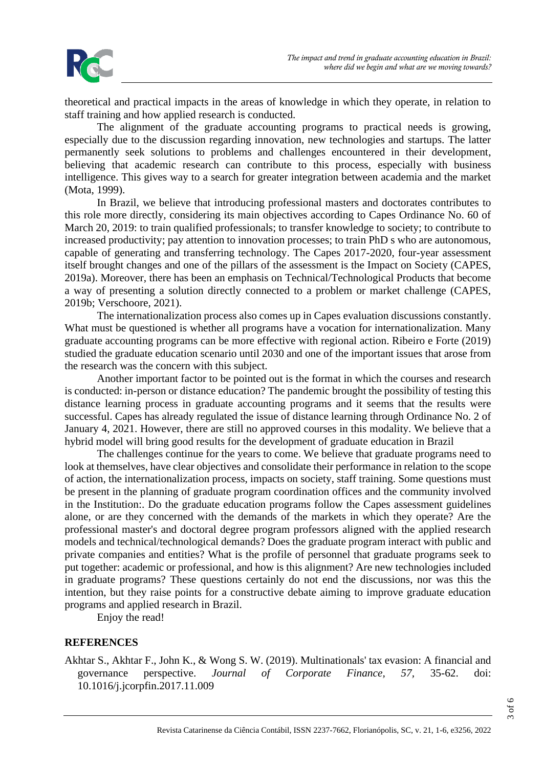

theoretical and practical impacts in the areas of knowledge in which they operate, in relation to staff training and how applied research is conducted.

The alignment of the graduate accounting programs to practical needs is growing, especially due to the discussion regarding innovation, new technologies and startups. The latter permanently seek solutions to problems and challenges encountered in their development, believing that academic research can contribute to this process, especially with business intelligence. This gives way to a search for greater integration between academia and the market (Mota, 1999).

In Brazil, we believe that introducing professional masters and doctorates contributes to this role more directly, considering its main objectives according to Capes Ordinance No. 60 of March 20, 2019: to train qualified professionals; to transfer knowledge to society; to contribute to increased productivity; pay attention to innovation processes; to train PhD s who are autonomous, capable of generating and transferring technology. The Capes 2017-2020, four-year assessment itself brought changes and one of the pillars of the assessment is the Impact on Society (CAPES, 2019a). Moreover, there has been an emphasis on Technical/Technological Products that become a way of presenting a solution directly connected to a problem or market challenge (CAPES, 2019b; Verschoore, 2021).

The internationalization process also comes up in Capes evaluation discussions constantly. What must be questioned is whether all programs have a vocation for internationalization. Many graduate accounting programs can be more effective with regional action. Ribeiro e Forte (2019) studied the graduate education scenario until 2030 and one of the important issues that arose from the research was the concern with this subject.

Another important factor to be pointed out is the format in which the courses and research is conducted: in-person or distance education? The pandemic brought the possibility of testing this distance learning process in graduate accounting programs and it seems that the results were successful. Capes has already regulated the issue of distance learning through Ordinance No. 2 of January 4, 2021. However, there are still no approved courses in this modality. We believe that a hybrid model will bring good results for the development of graduate education in Brazil

The challenges continue for the years to come. We believe that graduate programs need to look at themselves, have clear objectives and consolidate their performance in relation to the scope of action, the internationalization process, impacts on society, staff training. Some questions must be present in the planning of graduate program coordination offices and the community involved in the Institution:. Do the graduate education programs follow the Capes assessment guidelines alone, or are they concerned with the demands of the markets in which they operate? Are the professional master's and doctoral degree program professors aligned with the applied research models and technical/technological demands? Does the graduate program interact with public and private companies and entities? What is the profile of personnel that graduate programs seek to put together: academic or professional, and how is this alignment? Are new technologies included in graduate programs? These questions certainly do not end the discussions, nor was this the intention, but they raise points for a constructive debate aiming to improve graduate education programs and applied research in Brazil.

Enjoy the read!

### **REFERENCES**

Akhtar S., Akhtar F., John K., & Wong S. W. (2019). Multinationals' tax evasion: A financial and governance perspective. *Journal of Corporate Finance, 57,* 35-62. doi: 10.1016/j.jcorpfin.2017.11.009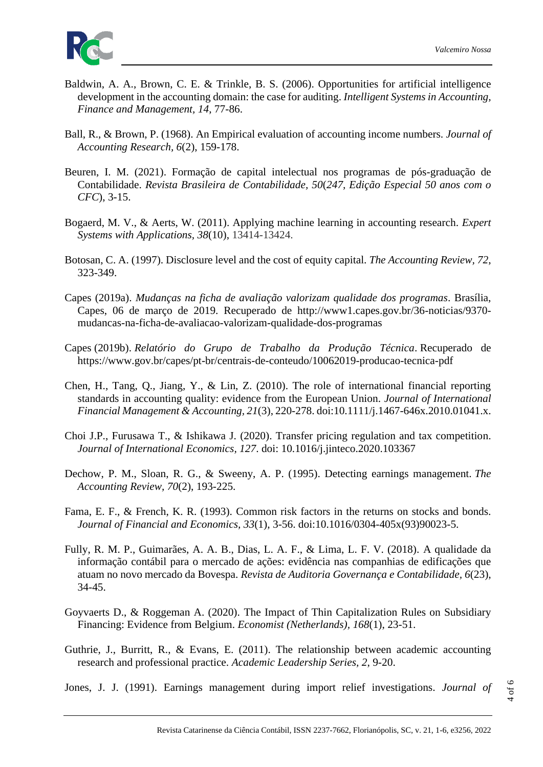

- Baldwin, A. A., Brown, C. E. & Trinkle, B. S. (2006). Opportunities for artificial intelligence development in the accounting domain: the case for auditing. *Intelligent Systems in Accounting, Finance and Management, 14*, 77-86.
- Ball, R., & Brown, P. (1968). An Empirical evaluation of accounting income numbers. *Journal of Accounting Research, 6*(2), 159-178.
- Beuren, I. M. (2021). Formação de capital intelectual nos programas de pós-graduação de Contabilidade. *Revista Brasileira de Contabilidade, 50*(*247, Edição Especial 50 anos com o CFC*), 3-15.
- Bogaerd, M. V., & Aerts, W. (2011). Applying machine learning in accounting research. *Expert Systems with Applications, 38*(10), 13414-13424.
- Botosan, C. A. (1997). Disclosure level and the cost of equity capital. *The Accounting Review, 72*, 323-349.
- Capes (2019a). *Mudanças na ficha de avaliação valorizam qualidade dos programas*. Brasília, Capes, 06 de março de 2019. Recuperado de http://www1.capes.gov.br/36-noticias/9370 mudancas-na-ficha-de-avaliacao-valorizam-qualidade-dos-programas
- Capes (2019b). *Relatório do Grupo de Trabalho da Produção Técnica*. Recuperado de https://www.gov.br/capes/pt-br/centrais-de-conteudo/10062019-producao-tecnica-pdf
- Chen, H., Tang, Q., Jiang, Y., & Lin, Z. (2010). The role of international financial reporting standards in accounting quality: evidence from the European Union. *Journal of International Financial Management & Accounting, 21*(3), 220-278. doi:10.1111/j.1467-646x.2010.01041.x.
- Choi J.P., Furusawa T., & Ishikawa J. (2020). Transfer pricing regulation and tax competition. *Journal of International Economics, 127*. doi: 10.1016/j.jinteco.2020.103367
- Dechow, P. M., Sloan, R. G., & Sweeny, A. P. (1995). Detecting earnings management. *The Accounting Review, 70*(2), 193-225.
- Fama, E. F., & French, K. R. (1993). Common risk factors in the returns on stocks and bonds. *Journal of Financial and Economics, 33*(1), 3-56. doi:10.1016/0304-405x(93)90023-5.
- Fully, R. M. P., Guimarães, A. A. B., Dias, L. A. F., & Lima, L. F. V. (2018). A qualidade da informação contábil para o mercado de ações: evidência nas companhias de edificações que atuam no novo mercado da Bovespa. *Revista de Auditoria Governança e Contabilidade, 6*(23), 34-45.
- Goyvaerts D., & Roggeman A. (2020). The Impact of Thin Capitalization Rules on Subsidiary Financing: Evidence from Belgium. *Economist (Netherlands), 168*(1), 23-51.
- Guthrie, J., Burritt, R., & Evans, E. (2011). The relationship between academic accounting research and professional practice. *Academic Leadership Series, 2*, 9-20.
- Jones, J. J. (1991). Earnings management during import relief investigations. *Journal of*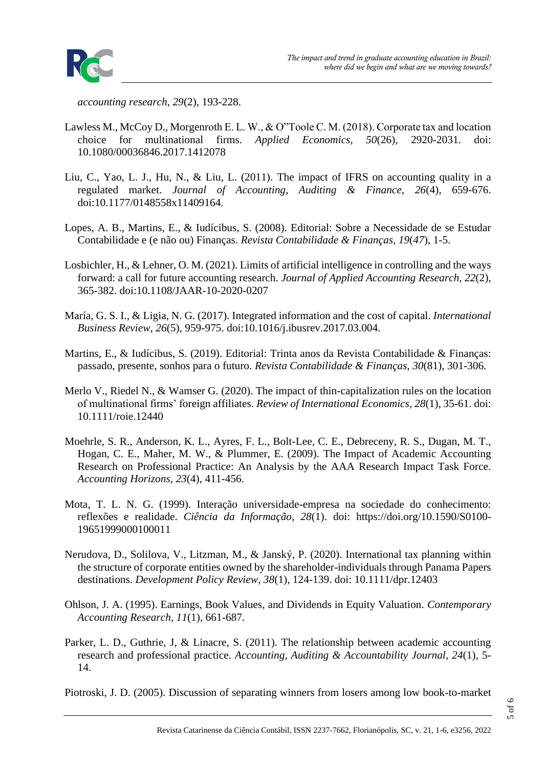*accounting research, 29*(2), 193-228.

- Lawless M., McCoy D., Morgenroth E. L. W., & O"Toole C. M. (2018). Corporate tax and location choice for multinational firms. *Applied Economics, 50*(26), 2920-2031. doi: 10.1080/00036846.2017.1412078
- Liu, C., Yao, L. J., Hu, N., & Liu, L. (2011). The impact of IFRS on accounting quality in a regulated market. *Journal of Accounting, Auditing & Finance, 26*(4), 659-676. doi:10.1177/0148558x11409164.
- Lopes, A. B., Martins, E., & Iudícibus, S. (2008). Editorial: Sobre a Necessidade de se Estudar Contabilidade e (e não ou) Finanças. *Revista Contabilidade & Finanças, 19*(*47*), 1-5.
- Losbichler, H., & Lehner, O. M. (2021). Limits of artificial intelligence in controlling and the ways forward: a call for future accounting research. *Journal of Applied Accounting Research, 22*(2), 365-382. doi:10.1108/JAAR-10-2020-0207
- María, G. S. I., & Ligia, N. G. (2017). Integrated information and the cost of capital. *International Business Review, 26*(5), 959-975. doi:10.1016/j.ibusrev.2017.03.004.
- Martins, E., & Iudícibus, S. (2019). Editorial: Trinta anos da Revista Contabilidade & Finanças: passado, presente, sonhos para o futuro. *Revista Contabilidade & Finanças, 30*(81), 301-306.
- Merlo V., Riedel N., & Wamser G. (2020). The impact of thin-capitalization rules on the location of multinational firms' foreign affiliates. *Review of International Economics, 28*(1), 35-61. doi: 10.1111/roie.12440
- Moehrle, S. R., Anderson, K. L., Ayres, F. L., Bolt-Lee, C. E., Debreceny, R. S., Dugan, M. T., Hogan, C. E., Maher, M. W., & Plummer, E. (2009). The Impact of Academic Accounting Research on Professional Practice: An Analysis by the AAA Research Impact Task Force. *Accounting Horizons*, *23*(4), 411-456.
- Mota, T. L. N. G. (1999). Interação universidade-empresa na sociedade do conhecimento: reflexões e realidade. *[Ciência da Informação,](file:///C:/Users/Silvania%20Nossa/AppData/Local/Microsoft/Windows/INetCache/Content.Outlook/AZ12AG9T/Ciência%20da%20Informação) 28*(1). doi: [https://doi.org/10.1590/S0100-](https://doi.org/10.1590/S0100-19651999000100011) [19651999000100011](https://doi.org/10.1590/S0100-19651999000100011)
- Nerudova, D., Solilova, V., Litzman, M., & Janský, P. (2020). International tax planning within the structure of corporate entities owned by the shareholder-individuals through Panama Papers destinations. *Development Policy Review, 38*(1), 124-139. doi: 10.1111/dpr.12403
- Ohlson, J. A. (1995). Earnings, Book Values, and Dividends in Equity Valuation. *Contemporary Accounting Research, 11*(1), 661-687.
- Parker, L. D., Guthrie, J. & Linacre, S. (2011). The relationship between academic accounting research and professional practice. *Accounting, Auditing & Accountability Journal, 24*(1), 5- 14.

Piotroski, J. D. (2005). Discussion of separating winners from losers among low book-to-market